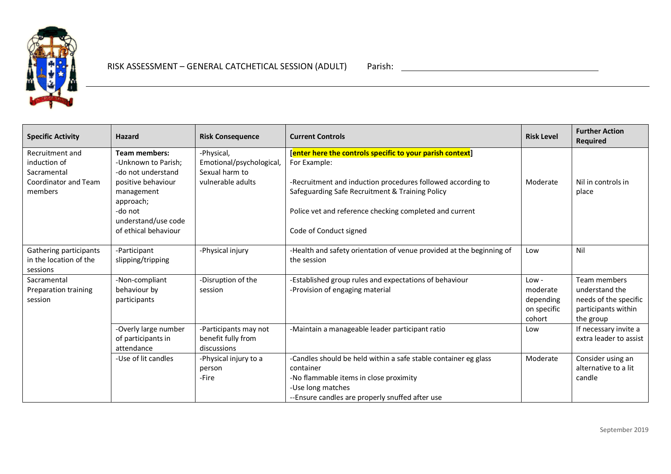

| <b>Specific Activity</b>                                                          | <b>Hazard</b>                                                                                                                                                                | <b>Risk Consequence</b>                                                       | <b>Current Controls</b>                                                                                                                                                                                                                                                          | <b>Risk Level</b>                                         | <b>Further Action</b><br><b>Required</b>                                                    |
|-----------------------------------------------------------------------------------|------------------------------------------------------------------------------------------------------------------------------------------------------------------------------|-------------------------------------------------------------------------------|----------------------------------------------------------------------------------------------------------------------------------------------------------------------------------------------------------------------------------------------------------------------------------|-----------------------------------------------------------|---------------------------------------------------------------------------------------------|
| Recruitment and<br>induction of<br>Sacramental<br>Coordinator and Team<br>members | <b>Team members:</b><br>-Unknown to Parish;<br>-do not understand<br>positive behaviour<br>management<br>approach;<br>-do not<br>understand/use code<br>of ethical behaviour | -Physical,<br>Emotional/psychological,<br>Sexual harm to<br>vulnerable adults | [enter here the controls specific to your parish context]<br>For Example:<br>-Recruitment and induction procedures followed according to<br>Safeguarding Safe Recruitment & Training Policy<br>Police vet and reference checking completed and current<br>Code of Conduct signed | Moderate                                                  | Nil in controls in<br>place                                                                 |
| Gathering participants<br>in the location of the<br>sessions                      | -Participant<br>slipping/tripping                                                                                                                                            | -Physical injury                                                              | -Health and safety orientation of venue provided at the beginning of<br>the session                                                                                                                                                                                              | Low                                                       | Nil                                                                                         |
| Sacramental<br>Preparation training<br>session                                    | -Non-compliant<br>behaviour by<br>participants                                                                                                                               | -Disruption of the<br>session                                                 | -Established group rules and expectations of behaviour<br>-Provision of engaging material                                                                                                                                                                                        | $Low -$<br>moderate<br>depending<br>on specific<br>cohort | Team members<br>understand the<br>needs of the specific<br>participants within<br>the group |
|                                                                                   | -Overly large number<br>of participants in<br>attendance                                                                                                                     | -Participants may not<br>benefit fully from<br>discussions                    | -Maintain a manageable leader participant ratio                                                                                                                                                                                                                                  | Low                                                       | If necessary invite a<br>extra leader to assist                                             |
|                                                                                   | -Use of lit candles                                                                                                                                                          | -Physical injury to a<br>person<br>-Fire                                      | -Candles should be held within a safe stable container eg glass<br>container<br>-No flammable items in close proximity<br>-Use long matches<br>--Ensure candles are properly snuffed after use                                                                                   | Moderate                                                  | Consider using an<br>alternative to a lit<br>candle                                         |